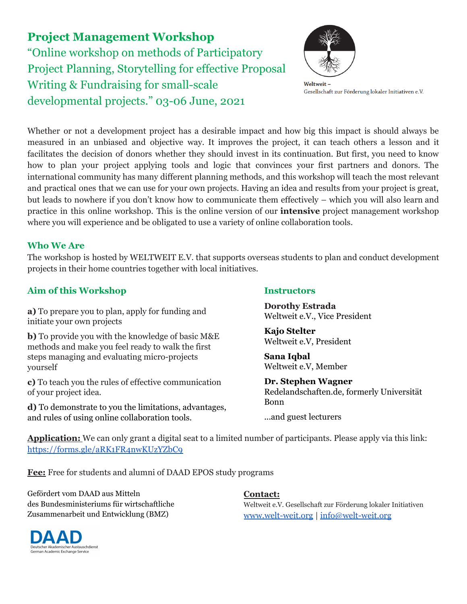**Project Management Workshop** "Online workshop on methods of Participatory Project Planning, Storytelling for effective Proposal Writing & Fundraising for small-scale developmental projects." 03-06 June, 2021



Weltweit-Gesellschaft zur Förderung lokaler Initiativen e.V.

Whether or not a development project has a desirable impact and how big this impact is should always be measured in an unbiased and objective way. It improves the project, it can teach others a lesson and it facilitates the decision of donors whether they should invest in its continuation. But first, you need to know how to plan your project applying tools and logic that convinces your first partners and donors. The international community has many different planning methods, and this workshop will teach the most relevant and practical ones that we can use for your own projects. Having an idea and results from your project is great, but leads to nowhere if you don't know how to communicate them effectively – which you will also learn and practice in this online workshop. This is the online version of our **intensive** project management workshop where you will experience and be obligated to use a variety of online collaboration tools.

# **Who We Are**

The workshop is hosted by WELTWEIT E.V. that supports overseas students to plan and conduct development projects in their home countries together with local initiatives.

# **Aim of this Workshop**

**a)** To prepare you to plan, apply for funding and initiate your own projects

**b)** To provide you with the knowledge of basic M&E methods and make you feel ready to walk the first steps managing and evaluating micro-projects yourself

**c)** To teach you the rules of effective communication of your project idea.

**d)** To demonstrate to you the limitations, advantages, and rules of using online collaboration tools.

# **Instructors**

**Dorothy Estrada** Weltweit e.V., Vice President

**Kajo Stelter** Weltweit e.V, President

**Sana Iqbal** Weltweit e.V, Member

**Dr. Stephen Wagner** Redelandschaften.de, formerly Universität Bonn

...and guest lecturers

**Application:** We can only grant a digital seat to a limited number of participants. Please apply via this link: <https://forms.gle/aRK1FR4nwKUzYZbC9>

**Fee:** Free for students and alumni of DAAD EPOS study programs

Gefördert vom DAAD aus Mitteln des Bundesministeriums für wirtschaftliche Zusammenarbeit und Entwicklung (BMZ)

# **Contact:**

Weltweit e.V. Gesellschaft zur Förderung lokaler Initiativen [www.welt-weit.org](http://www.welt-weit.org) | [info@welt-weit.org](mailto:info@welt-weit.org)

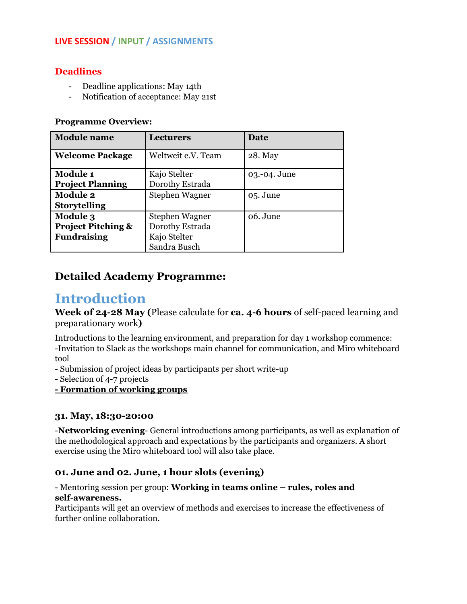# **Deadlines**

- Deadline applications: May 14th
- Notification of acceptance: May 21st

# **Programme Overview:**

| <b>Module</b> name            | <b>Lecturers</b>   | Date         |
|-------------------------------|--------------------|--------------|
| <b>Welcome Package</b>        | Weltweit e.V. Team | 28. May      |
| <b>Module 1</b>               | Kajo Stelter       | 03.-04. June |
| <b>Project Planning</b>       | Dorothy Estrada    |              |
| <b>Module 2</b>               | Stephen Wagner     | 05. June     |
| <b>Storytelling</b>           |                    |              |
| <b>Module 3</b>               | Stephen Wagner     | 06. June     |
| <b>Project Pitching &amp;</b> | Dorothy Estrada    |              |
| <b>Fundraising</b>            | Kajo Stelter       |              |
|                               | Sandra Busch       |              |

# **Detailed Academy Programme:**

# **Introduction**

**Week of 24-28 May (**Please calculate for **ca. 4-6 hours** of self-paced learning and preparationary work**)**

Introductions to the learning environment, and preparation for day 1 workshop commence: -Invitation to Slack as the workshops main channel for communication, and Miro whiteboard tool

- Submission of project ideas by participants per short write-up

- Selection of 4-7 projects

**- Formation of working groups**

# **31. May, 18:30-20:00**

-**Networking evening**- General introductions among participants, as well as explanation of the methodological approach and expectations by the participants and organizers. A short exercise using the Miro whiteboard tool will also take place.

# **01. June and 02. June, 1 hour slots (evening)**

- Mentoring session per group: **Working in teams online – rules, roles and self-awareness.**

Participants will get an overview of methods and exercises to increase the effectiveness of further online collaboration.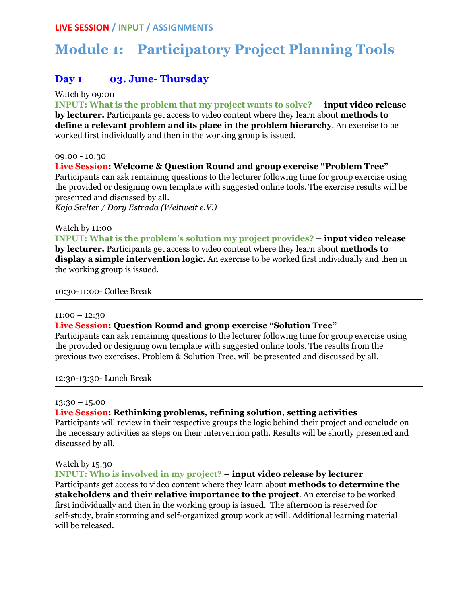# **Module 1: Participatory Project Planning Tools**

# **Day 1 03. June- Thursday**

Watch by 09:00

**INPUT: What is the problem that my project wants to solve? – input video release by lecturer.** Participants get access to video content where they learn about **methods to define a relevant problem and its place in the problem hierarchy**. An exercise to be worked first individually and then in the working group is issued.

#### 09:00 - 10:30

#### **Live Session: Welcome & Question Round and group exercise "Problem Tree"**

Participants can ask remaining questions to the lecturer following time for group exercise using the provided or designing own template with suggested online tools. The exercise results will be presented and discussed by all.

*Kajo Stelter / Dory Estrada (Weltweit e.V.)*

#### Watch by 11:00

**INPUT: What is the problem's solution my project provides? – input video release by lecturer.** Participants get access to video content where they learn about **methods to display a simple intervention logic.** An exercise to be worked first individually and then in the working group is issued.

10:30-11:00- Coffee Break

#### $11:00 - 12:30$

#### **Live Session: Question Round and group exercise "Solution Tree"**

Participants can ask remaining questions to the lecturer following time for group exercise using the provided or designing own template with suggested online tools. The results from the previous two exercises, Problem & Solution Tree, will be presented and discussed by all.

12:30-13:30- Lunch Break

#### 13:30 – 15.00

#### **Live Session: Rethinking problems, refining solution, setting activities**

Participants will review in their respective groups the logic behind their project and conclude on the necessary activities as steps on their intervention path. Results will be shortly presented and discussed by all.

# Watch by 15:30

**INPUT: Who is involved in my project? – input video release by lecturer** Participants get access to video content where they learn about **methods to determine the stakeholders and their relative importance to the project**. An exercise to be worked first individually and then in the working group is issued. The afternoon is reserved for self-study, brainstorming and self-organized group work at will. Additional learning material will be released.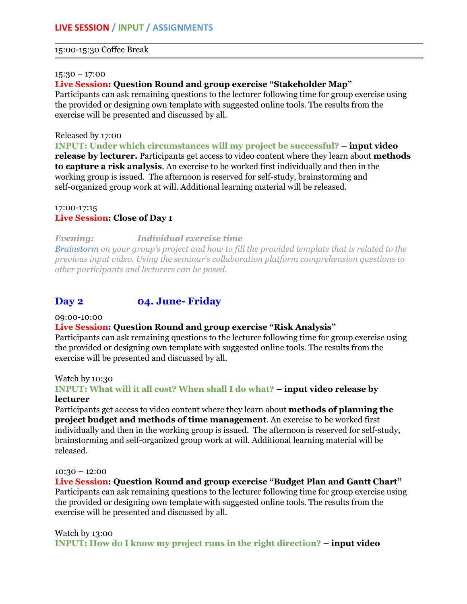#### 15:00-15:30 Coffee Break

#### 15:30 – 17:00

#### **Live Session: Question Round and group exercise "Stakeholder Map"**

Participants can ask remaining questions to the lecturer following time for group exercise using the provided or designing own template with suggested online tools. The results from the exercise will be presented and discussed by all.

#### Released by 17:00

**INPUT: Under which circumstances will my project be successful? – input video release by lecturer.** Participants get access to video content where they learn about **methods to capture a risk analysis**. An exercise to be worked first individually and then in the working group is issued. The afternoon is reserved for self-study, brainstorming and self-organized group work at will. Additional learning material will be released.

#### 17:00-17:15 **Live Session: Close of Day 1**

# *Evening: Individual exercise time*

*Brainstorm on your group's project and how to fill the provided template that is related to the previous input video. Using the seminar's collaboration platform comprehension questions to other participants and lecturers can be posed.*

# **Day 2 04. June- Friday**

#### 09:00-10:00

# **Live Session: Question Round and group exercise "Risk Analysis"**

Participants can ask remaining questions to the lecturer following time for group exercise using the provided or designing own template with suggested online tools. The results from the exercise will be presented and discussed by all.

#### Watch by 10:30

#### **INPUT: What will it all cost? When shall I do what? – input video release by lecturer**

Participants get access to video content where they learn about **methods of planning the project budget and methods of time management**. An exercise to be worked first individually and then in the working group is issued. The afternoon is reserved for self-study, brainstorming and self-organized group work at will. Additional learning material will be released.

#### 10:30 – 12:00

#### **Live Session: Question Round and group exercise "Budget Plan and Gantt Chart"**

Participants can ask remaining questions to the lecturer following time for group exercise using the provided or designing own template with suggested online tools. The results from the exercise will be presented and discussed by all.

#### Watch by 13:00

**INPUT: How do I know my project runs in the right direction? – input video**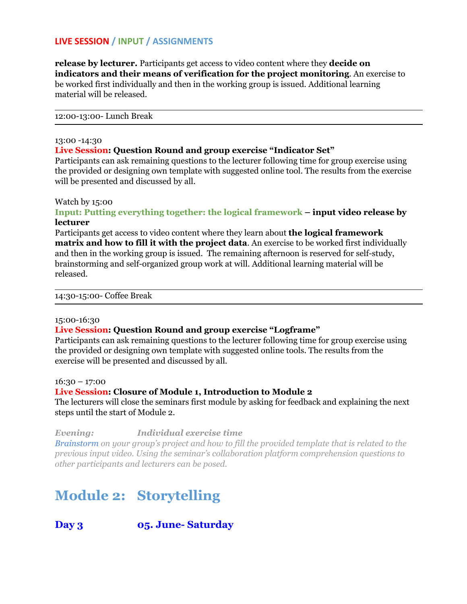**release by lecturer.** Participants get access to video content where they **decide on indicators and their means of verification for the project monitoring**. An exercise to be worked first individually and then in the working group is issued. Additional learning material will be released.

12:00-13:00- Lunch Break

#### 13:00 -14:30

#### **Live Session: Question Round and group exercise "Indicator Set"**

Participants can ask remaining questions to the lecturer following time for group exercise using the provided or designing own template with suggested online tool. The results from the exercise will be presented and discussed by all.

#### Watch by 15:00

# **Input: Putting everything together: the logical framework – input video release by lecturer**

Participants get access to video content where they learn about **the logical framework matrix and how to fill it with the project data**. An exercise to be worked first individually and then in the working group is issued. The remaining afternoon is reserved for self-study, brainstorming and self-organized group work at will. Additional learning material will be released.

14:30-15:00- Coffee Break

#### 15:00-16:30

# **Live Session: Question Round and group exercise "Logframe"**

Participants can ask remaining questions to the lecturer following time for group exercise using the provided or designing own template with suggested online tools. The results from the exercise will be presented and discussed by all.

 $16:30 - 17:00$ 

#### **Live Session: Closure of Module 1, Introduction to Module 2**

The lecturers will close the seminars first module by asking for feedback and explaining the next steps until the start of Module 2.

*Evening: Individual exercise time*

*Brainstorm on your group's project and how to fill the provided template that is related to the previous input video. Using the seminar's collaboration platform comprehension questions to other participants and lecturers can be posed.*

# **Module 2: Storytelling**

# **Day 3 05. June- Saturday**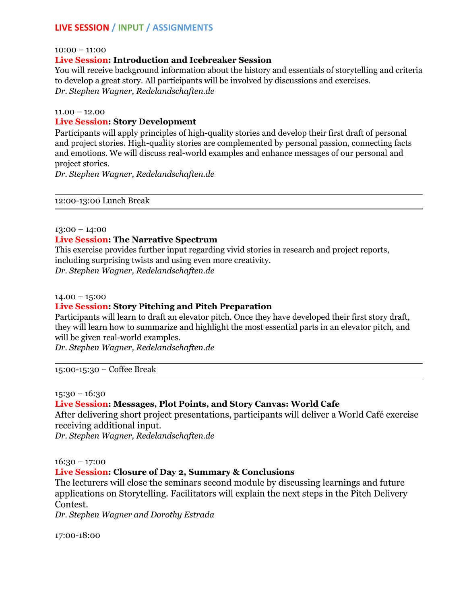10:00 – 11:00

#### **Live Session: Introduction and Icebreaker Session**

You will receive background information about the history and essentials of storytelling and criteria to develop a great story. All participants will be involved by discussions and exercises. *Dr. Stephen Wagner, Redelandschaften.de*

#### $11.00 - 12.00$

#### **Live Session: Story Development**

Participants will apply principles of high-quality stories and develop their first draft of personal and project stories. High-quality stories are complemented by personal passion, connecting facts and emotions. We will discuss real-world examples and enhance messages of our personal and project stories.

*Dr. Stephen Wagner, Redelandschaften.de*

12:00-13:00 Lunch Break

#### 13:00 – 14:00

# **Live Session: The Narrative Spectrum**

This exercise provides further input regarding vivid stories in research and project reports, including surprising twists and using even more creativity. *Dr. Stephen Wagner, Redelandschaften.de*

#### $14.00 - 15:00$

# **Live Session: Story Pitching and Pitch Preparation**

Participants will learn to draft an elevator pitch. Once they have developed their first story draft, they will learn how to summarize and highlight the most essential parts in an elevator pitch, and will be given real-world examples.

*Dr. Stephen Wagner, Redelandschaften.de*

15:00-15:30 – Coffee Break

#### 15:30 – 16:30

# **Live Session: Messages, Plot Points, and Story Canvas: World Cafe**

After delivering short project presentations, participants will deliver a World Café exercise receiving additional input.

*Dr. Stephen Wagner, Redelandschaften.de*

16:30 – 17:00

# **Live Session: Closure of Day 2, Summary & Conclusions**

The lecturers will close the seminars second module by discussing learnings and future applications on Storytelling. Facilitators will explain the next steps in the Pitch Delivery Contest.

*Dr. Stephen Wagner and Dorothy Estrada*

17:00-18:00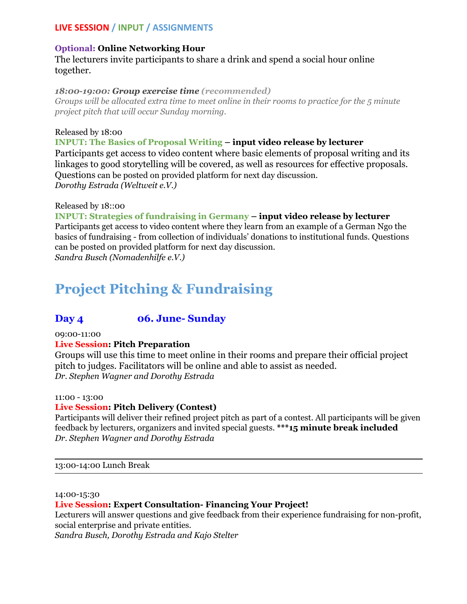# **Optional: Online Networking Hour**

The lecturers invite participants to share a drink and spend a social hour online together.

# *18:00-19:00: Group exercise time (recommended)*

*Groups will be allocated extra time to meet online in their rooms to practice for the 5 minute project pitch that will occur Sunday morning.*

# Released by 18:00

# **INPUT: The Basics of Proposal Writing – input video release by lecturer**

Participants get access to video content where basic elements of proposal writing and its linkages to good storytelling will be covered, as well as resources for effective proposals. Questions can be posted on provided platform for next day discussion. *Dorothy Estrada (Weltweit e.V.)*

# Released by 18::00

**INPUT: Strategies of fundraising in Germany – input video release by lecturer** Participants get access to video content where they learn from an example of a German Ngo the basics of fundraising - from collection of individuals' donations to institutional funds. Questions can be posted on provided platform for next day discussion.

*Sandra Busch (Nomadenhilfe e.V.)*

# **Project Pitching & Fundraising**

# **Day 4 06. June- Sunday**

09:00-11:00

# **Live Session: Pitch Preparation**

Groups will use this time to meet online in their rooms and prepare their official project pitch to judges. Facilitators will be online and able to assist as needed. *Dr. Stephen Wagner and Dorothy Estrada*

# 11:00 - 13:00

# **Live Session: Pitch Delivery (Contest)**

Participants will deliver their refined project pitch as part of a contest. All participants will be given feedback by lecturers, organizers and invited special guests. **\*\*\*15 minute break included** *Dr. Stephen Wagner and Dorothy Estrada*

13:00-14:00 Lunch Break

#### 14:00-15:30

# **Live Session: Expert Consultation- Financing Your Project!**

Lecturers will answer questions and give feedback from their experience fundraising for non-profit, social enterprise and private entities.

*Sandra Busch, Dorothy Estrada and Kajo Stelter*